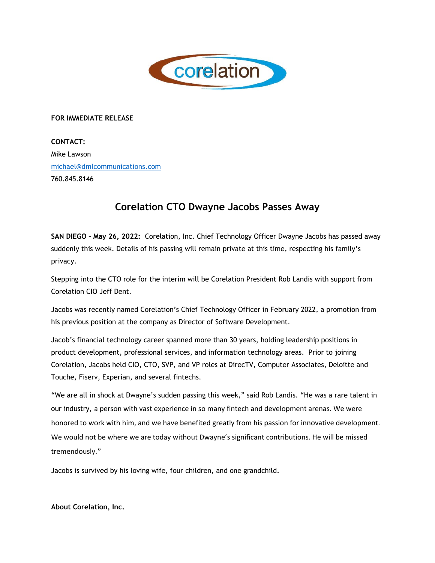

## **FOR IMMEDIATE RELEASE**

**CONTACT:**  Mike Lawson michael@dmlcommunications.com 760.845.8146

## **Corelation CTO Dwayne Jacobs Passes Away**

**SAN DIEGO – May 26, 2022:** Corelation, Inc. Chief Technology Officer Dwayne Jacobs has passed away suddenly this week. Details of his passing will remain private at this time, respecting his family's privacy.

Stepping into the CTO role for the interim will be Corelation President Rob Landis with support from Corelation CIO Jeff Dent.

Jacobs was recently named Corelation's Chief Technology Officer in February 2022, a promotion from his previous position at the company as Director of Software Development.

Jacob's financial technology career spanned more than 30 years, holding leadership positions in product development, professional services, and information technology areas. Prior to joining Corelation, Jacobs held CIO, CTO, SVP, and VP roles at DirecTV, Computer Associates, Deloitte and Touche, Fiserv, Experian, and several fintechs.

"We are all in shock at Dwayne's sudden passing this week," said Rob Landis. "He was a rare talent in our industry, a person with vast experience in so many fintech and development arenas. We were honored to work with him, and we have benefited greatly from his passion for innovative development. We would not be where we are today without Dwayne's significant contributions. He will be missed tremendously."

Jacobs is survived by his loving wife, four children, and one grandchild.

**About Corelation, Inc.**